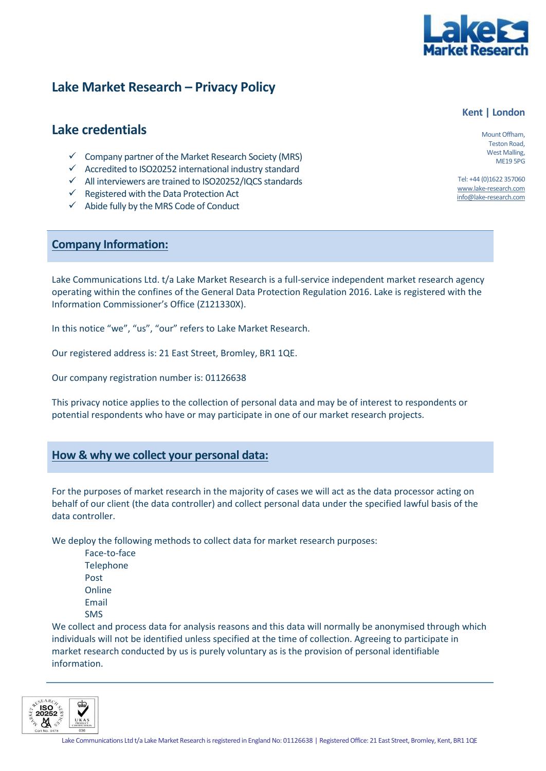

## **Lake Market Research – Privacy Policy**

### **Lake credentials**

- $\checkmark$  Company partner of the Market Research Society (MRS)
- ✓ Accredited to ISO20252 international industry standard
- ✓ All interviewers are trained to ISO20252/IQCS standards
- $\checkmark$  Registered with the Data Protection Act
- ✓ Abide fully by the MRS Code of Conduct

#### **Company Information:**

Lake Communications Ltd. t/a Lake Market Research is a full-service independent market research agency operating within the confines of the General Data Protection Regulation 2016. Lake is registered with the Information Commissioner's Office (Z121330X).

In this notice "we", "us", "our" refers to Lake Market Research.

Our registered address is: 21 East Street, Bromley, BR1 1QE.

Our company registration number is: 01126638

This privacy notice applies to the collection of personal data and may be of interest to respondents or potential respondents who have or may participate in one of our market research projects.

#### **How & why we collect your personal data:**

For the purposes of market research in the majority of cases we will act as the data processor acting on behalf of our client (the data controller) and collect personal data under the specified lawful basis of the data controller.

We deploy the following methods to collect data for market research purposes:

• Face-to-face **Telephone** • Post **Online Email** • SMS

We collect and process data for analysis reasons and this data will normally be anonymised through which individuals will not be identified unless specified at the time of collection. Agreeing to participate in market research conducted by us is purely voluntary as is the provision of personal identifiable information.



Mount Offham, Teston Road, West Malling, ME19 5PG

**Kent | London**

Tel: +44 (0)1622 357060 [www.lake-research.com](http://www.lake-research.com/) info@lake-research.com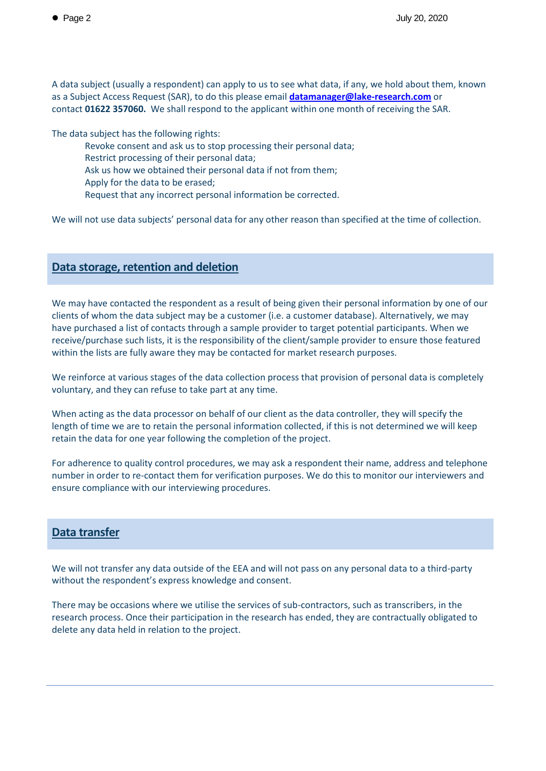A data subject (usually a respondent) can apply to us to see what data, if any, we hold about them, known as a Subject Access Request (SAR), to do this please email **[datamanager@lake-research.com](mailto:datamanager@lake-research.com)** or contact **01622 357060.** We shall respond to the applicant within one month of receiving the SAR.

The data subject has the following rights:

- Revoke consent and ask us to stop processing their personal data;
- Restrict processing of their personal data;
- Ask us how we obtained their personal data if not from them;
- Apply for the data to be erased;
- Request that any incorrect personal information be corrected.

We will not use data subjects' personal data for any other reason than specified at the time of collection.

#### **Data storage, retention and deletion**

We may have contacted the respondent as a result of being given their personal information by one of our clients of whom the data subject may be a customer (i.e. a customer database). Alternatively, we may have purchased a list of contacts through a sample provider to target potential participants. When we receive/purchase such lists, it is the responsibility of the client/sample provider to ensure those featured within the lists are fully aware they may be contacted for market research purposes.

We reinforce at various stages of the data collection process that provision of personal data is completely voluntary, and they can refuse to take part at any time.

When acting as the data processor on behalf of our client as the data controller, they will specify the length of time we are to retain the personal information collected, if this is not determined we will keep retain the data for one year following the completion of the project.

For adherence to quality control procedures, we may ask a respondent their name, address and telephone number in order to re-contact them for verification purposes. We do this to monitor our interviewers and ensure compliance with our interviewing procedures.

#### **Data transfer**

We will not transfer any data outside of the EEA and will not pass on any personal data to a third-party without the respondent's express knowledge and consent.

There may be occasions where we utilise the services of sub-contractors, such as transcribers, in the research process. Once their participation in the research has ended, they are contractually obligated to delete any data held in relation to the project.